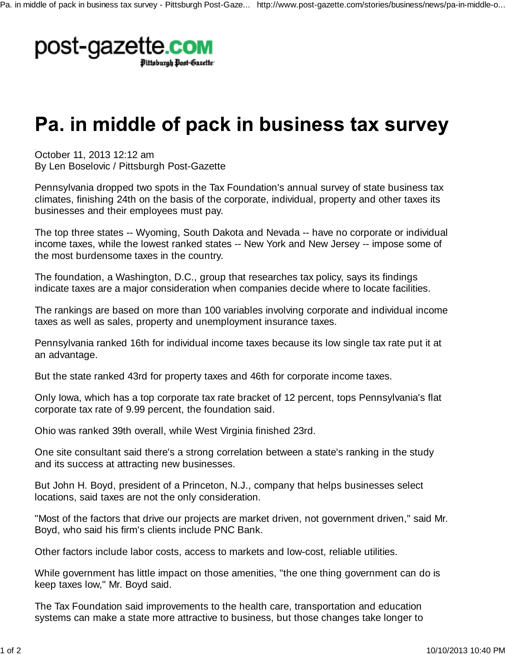

## Pa. in middle of pack in business tax survey

October 11, 2013 12:12 am By Len Boselovic / Pittsburgh Post-Gazette

Pennsylvania dropped two spots in the Tax Foundation's annual survey of state business tax climates, finishing 24th on the basis of the corporate, individual, property and other taxes its businesses and their employees must pay.

The top three states -- Wyoming, South Dakota and Nevada -- have no corporate or individual income taxes, while the lowest ranked states -- New York and New Jersey -- impose some of the most burdensome taxes in the country.

The foundation, a Washington, D.C., group that researches tax policy, says its findings indicate taxes are a major consideration when companies decide where to locate facilities.

The rankings are based on more than 100 variables involving corporate and individual income taxes as well as sales, property and unemployment insurance taxes.

Pennsylvania ranked 16th for individual income taxes because its low single tax rate put it at an advantage.

But the state ranked 43rd for property taxes and 46th for corporate income taxes.

Only Iowa, which has a top corporate tax rate bracket of 12 percent, tops Pennsylvania's flat corporate tax rate of 9.99 percent, the foundation said.

Ohio was ranked 39th overall, while West Virginia finished 23rd.

One site consultant said there's a strong correlation between a state's ranking in the study and its success at attracting new businesses.

But John H. Boyd, president of a Princeton, N.J., company that helps businesses select locations, said taxes are not the only consideration.

"Most of the factors that drive our projects are market driven, not government driven," said Mr. Boyd, who said his firm's clients include PNC Bank.

Other factors include labor costs, access to markets and low-cost, reliable utilities.

While government has little impact on those amenities, "the one thing government can do is keep taxes low," Mr. Boyd said.

The Tax Foundation said improvements to the health care, transportation and education systems can make a state more attractive to business, but those changes take longer to